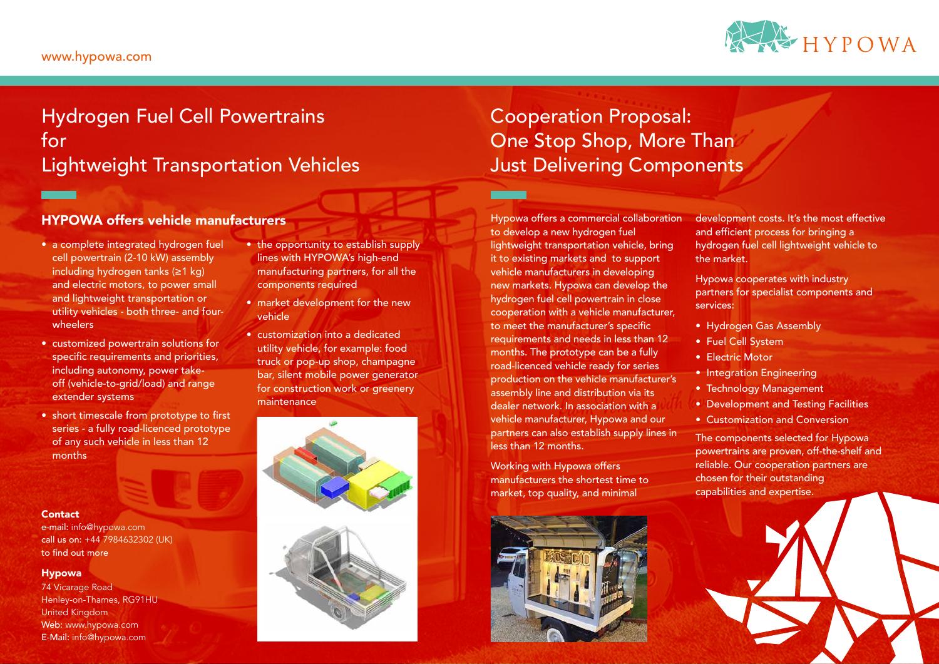### HYPOWA offers vehicle manufacturers

- a complete integrated hydrogen fuel cell powertrain (2-10 kW) assembly including hydrogen tanks (≥1 kg) and electric motors, to power small and lightweight transportation or utility vehicles - both three- and fourwheelers
- customized powertrain solutions for specific requirements and priorities, including autonomy, power takeoff (vehicle-to-grid/load) and range extender systems
- short timescale from prototype to first series - a fully road-licenced prototype of any such vehicle in less than 12 months

#### **Contact**

- the opportunity to establish supply lines with HYPOWA's high-end manufacturing partners, for all the components required
- market development for the new vehicle
- customization into a dedicated utility vehicle, for example: food truck or pop-up shop, champagne bar, silent mobile power generator for construction work or greenery maintenance



## Hydrogen Fuel Cell Powertrains for Lightweight Transportation Vehicles

### www.hypowa.com

# Cooperation Proposal: One Stop Shop, More Than Just Delivering Components

Hypowa offers a commercial collaboration to develop a new hydrogen fuel lightweight transportation vehicle, bring it to existing markets and to support vehicle manufacturers in developing new markets. Hypowa can develop the hydrogen fuel cell powertrain in close cooperation with a vehicle manufacturer, to meet the manufacturer's specific requirements and needs in less than 12 months. The prototype can be a fully road-licenced vehicle ready for series production on the vehicle manufacturer's assembly line and distribution via its dealer network. In association with a vehicle manufacturer, Hypowa and our partners can also establish supply lines in less than 12 months.

Working with Hypowa offers manufacturers the shortest time to market, top quality, and minimal





development costs. It's the most effective and efficient process for bringing a hydrogen fuel cell lightweight vehicle to the market.

Hypowa cooperates with industry partners for specialist components and services:

• Hydrogen Gas Assembly • Fuel Cell System

• Electric Motor

• Integration Engineering

• Technology Management

• Development and Testing Facilities

• Customization and Conversion

The components selected for Hypowa powertrains are proven, off-the-shelf and reliable. Our cooperation partners are chosen for their outstanding capabilities and expertise.

e-mail: info@hypowa.com call us on: +44 7984632302 (UK) to find out more

#### Hypowa

74 Vicarage Road Henley-on-Thames, RG91HU United Kingdom Web: www.hypowa.com E-Mail: info@hypowa.com